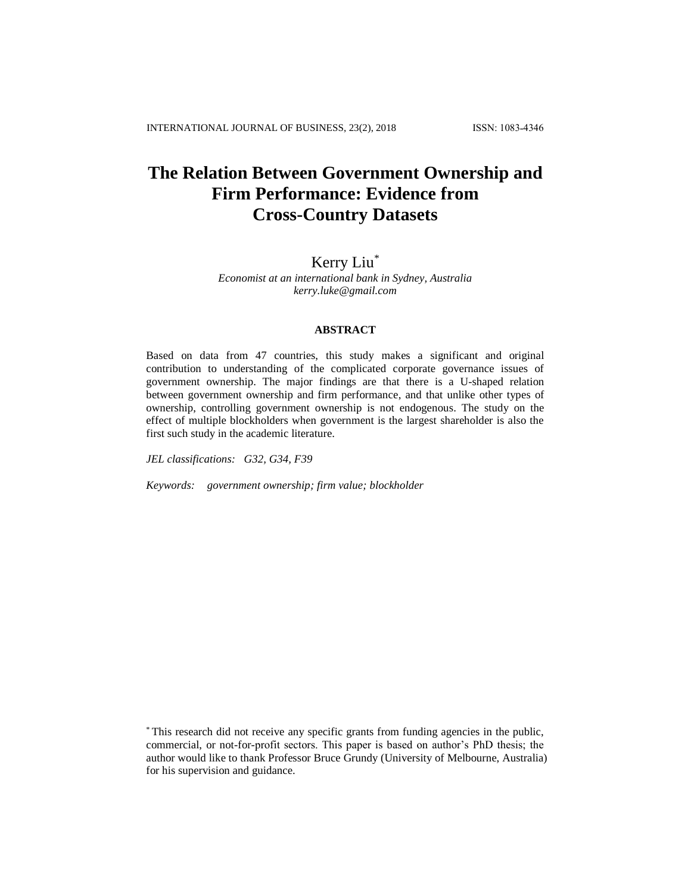# **The Relation Between Government Ownership and Firm Performance: Evidence from Cross-Country Datasets**

# Kerry Liu\*

*Economist at an international bank in Sydney, Australia kerry.luke@gmail.com*

#### **ABSTRACT**

Based on data from 47 countries, this study makes a significant and original contribution to understanding of the complicated corporate governance issues of government ownership. The major findings are that there is a U-shaped relation between government ownership and firm performance, and that unlike other types of ownership, controlling government ownership is not endogenous. The study on the effect of multiple blockholders when government is the largest shareholder is also the first such study in the academic literature.

*JEL classifications: G32, G34, F39*

*Keywords: government ownership; firm value; blockholder*

<sup>\*</sup> This research did not receive any specific grants from funding agencies in the public, commercial, or not-for-profit sectors. This paper is based on author's PhD thesis; the author would like to thank Professor Bruce Grundy (University of Melbourne, Australia) for his supervision and guidance.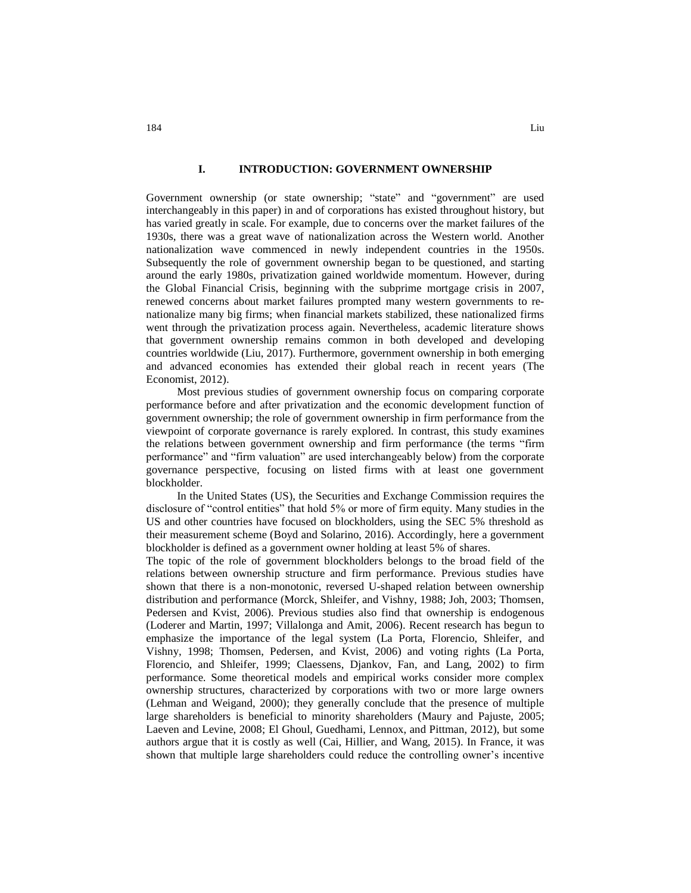#### **I. INTRODUCTION: GOVERNMENT OWNERSHIP**

Government ownership (or state ownership; "state" and "government" are used interchangeably in this paper) in and of corporations has existed throughout history, but has varied greatly in scale. For example, due to concerns over the market failures of the 1930s, there was a great wave of nationalization across the Western world. Another nationalization wave commenced in newly independent countries in the 1950s. Subsequently the role of government ownership began to be questioned, and starting around the early 1980s, privatization gained worldwide momentum. However, during the Global Financial Crisis, beginning with the subprime mortgage crisis in 2007, renewed concerns about market failures prompted many western governments to renationalize many big firms; when financial markets stabilized, these nationalized firms went through the privatization process again. Nevertheless, academic literature shows that government ownership remains common in both developed and developing countries worldwide (Liu, 2017). Furthermore, government ownership in both emerging and advanced economies has extended their global reach in recent years (The Economist, 2012).

Most previous studies of government ownership focus on comparing corporate performance before and after privatization and the economic development function of government ownership; the role of government ownership in firm performance from the viewpoint of corporate governance is rarely explored. In contrast, this study examines the relations between government ownership and firm performance (the terms "firm performance" and "firm valuation" are used interchangeably below) from the corporate governance perspective, focusing on listed firms with at least one government blockholder.

In the United States (US), the Securities and Exchange Commission requires the disclosure of "control entities" that hold 5% or more of firm equity. Many studies in the US and other countries have focused on blockholders, using the SEC 5% threshold as their measurement scheme (Boyd and Solarino, 2016). Accordingly, here a government blockholder is defined as a government owner holding at least 5% of shares.

The topic of the role of government blockholders belongs to the broad field of the relations between ownership structure and firm performance. Previous studies have shown that there is a non-monotonic, reversed U-shaped relation between ownership distribution and performance (Morck, Shleifer, and Vishny, 1988; Joh, 2003; Thomsen, Pedersen and Kvist, 2006). Previous studies also find that ownership is endogenous (Loderer and Martin, 1997; Villalonga and Amit, 2006). Recent research has begun to emphasize the importance of the legal system (La Porta, Florencio, Shleifer, and Vishny, 1998; Thomsen, Pedersen, and Kvist, 2006) and voting rights (La Porta, Florencio, and Shleifer, 1999; Claessens, Djankov, Fan, and Lang, 2002) to firm performance. Some theoretical models and empirical works consider more complex ownership structures, characterized by corporations with two or more large owners (Lehman and Weigand, 2000); they generally conclude that the presence of multiple large shareholders is beneficial to minority shareholders (Maury and Pajuste, 2005; Laeven and Levine, 2008; El Ghoul, Guedhami, Lennox, and Pittman, 2012), but some authors argue that it is costly as well (Cai, Hillier, and Wang, 2015). In France, it was shown that multiple large shareholders could reduce the controlling owner's incentive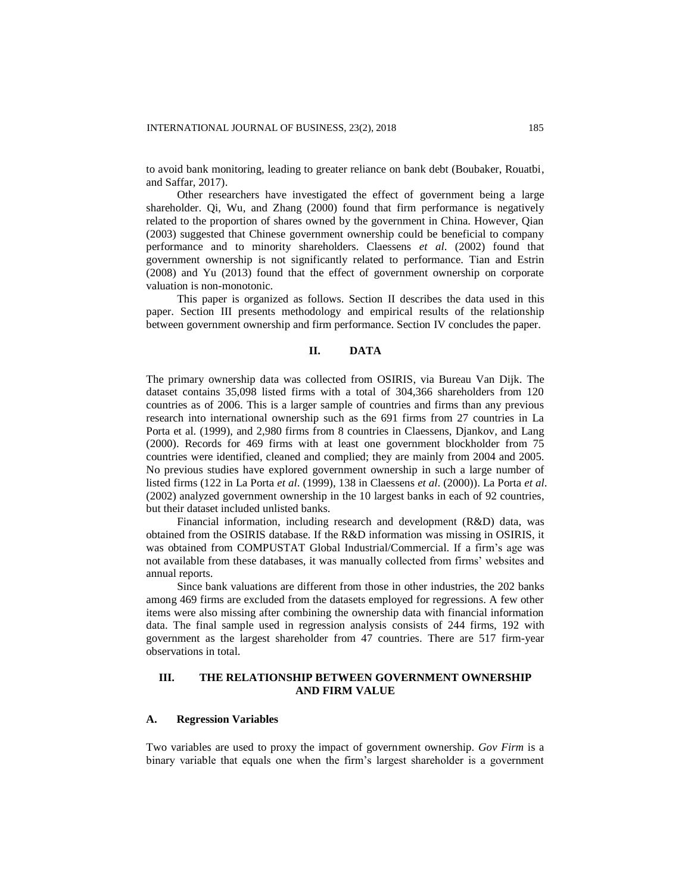to avoid bank monitoring, leading to greater reliance on bank debt (Boubaker, Rouatbi, and Saffar, 2017).

Other researchers have investigated the effect of government being a large shareholder. Qi, Wu, and Zhang (2000) found that firm performance is negatively related to the proportion of shares owned by the government in China. However, Qian (2003) suggested that Chinese government ownership could be beneficial to company performance and to minority shareholders. Claessens *et al*. (2002) found that government ownership is not significantly related to performance. Tian and Estrin (2008) and Yu (2013) found that the effect of government ownership on corporate valuation is non-monotonic.

This paper is organized as follows. Section II describes the data used in this paper. Section III presents methodology and empirical results of the relationship between government ownership and firm performance. Section IV concludes the paper.

#### **II. DATA**

The primary ownership data was collected from OSIRIS, via Bureau Van Dijk. The dataset contains 35,098 listed firms with a total of 304,366 shareholders from 120 countries as of 2006. This is a larger sample of countries and firms than any previous research into international ownership such as the 691 firms from 27 countries in La Porta et al. (1999), and 2,980 firms from 8 countries in Claessens, Djankov, and Lang (2000). Records for 469 firms with at least one government blockholder from 75 countries were identified, cleaned and complied; they are mainly from 2004 and 2005. No previous studies have explored government ownership in such a large number of listed firms (122 in La Porta *et al*. (1999), 138 in Claessens *et al*. (2000)). La Porta *et al*. (2002) analyzed government ownership in the 10 largest banks in each of 92 countries, but their dataset included unlisted banks.

Financial information, including research and development (R&D) data, was obtained from the OSIRIS database. If the R&D information was missing in OSIRIS, it was obtained from COMPUSTAT Global Industrial/Commercial. If a firm's age was not available from these databases, it was manually collected from firms' websites and annual reports.

Since bank valuations are different from those in other industries, the 202 banks among 469 firms are excluded from the datasets employed for regressions. A few other items were also missing after combining the ownership data with financial information data. The final sample used in regression analysis consists of 244 firms, 192 with government as the largest shareholder from 47 countries. There are 517 firm-year observations in total.

## **III. THE RELATIONSHIP BETWEEN GOVERNMENT OWNERSHIP AND FIRM VALUE**

#### **A. Regression Variables**

Two variables are used to proxy the impact of government ownership. *Gov Firm* is a binary variable that equals one when the firm's largest shareholder is a government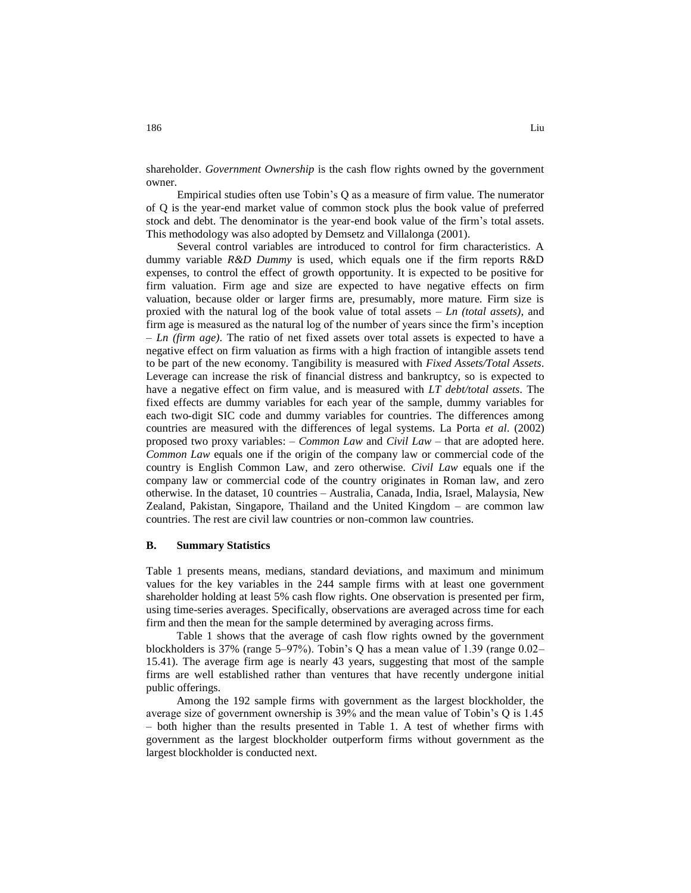shareholder. *Government Ownership* is the cash flow rights owned by the government owner.

Empirical studies often use Tobin's Q as a measure of firm value. The numerator of Q is the year-end market value of common stock plus the book value of preferred stock and debt. The denominator is the year-end book value of the firm's total assets. This methodology was also adopted by Demsetz and Villalonga (2001).

Several control variables are introduced to control for firm characteristics. A dummy variable *R&D Dummy* is used, which equals one if the firm reports R&D expenses, to control the effect of growth opportunity. It is expected to be positive for firm valuation. Firm age and size are expected to have negative effects on firm valuation, because older or larger firms are, presumably, more mature. Firm size is proxied with the natural log of the book value of total assets – *Ln (total assets)*, and firm age is measured as the natural log of the number of years since the firm's inception – *Ln (firm age)*. The ratio of net fixed assets over total assets is expected to have a negative effect on firm valuation as firms with a high fraction of intangible assets tend to be part of the new economy. Tangibility is measured with *Fixed Assets/Total Assets*. Leverage can increase the risk of financial distress and bankruptcy, so is expected to have a negative effect on firm value, and is measured with *LT debt/total assets*. The fixed effects are dummy variables for each year of the sample, dummy variables for each two-digit SIC code and dummy variables for countries. The differences among countries are measured with the differences of legal systems. La Porta *et al*. (2002) proposed two proxy variables: – *Common Law* and *Civil Law* – that are adopted here. *Common Law* equals one if the origin of the company law or commercial code of the country is English Common Law, and zero otherwise. *Civil Law* equals one if the company law or commercial code of the country originates in Roman law, and zero otherwise. In the dataset, 10 countries – Australia, Canada, India, Israel, Malaysia, New Zealand, Pakistan, Singapore, Thailand and the United Kingdom – are common law countries. The rest are civil law countries or non-common law countries.

## **B. Summary Statistics**

Table 1 presents means, medians, standard deviations, and maximum and minimum values for the key variables in the 244 sample firms with at least one government shareholder holding at least 5% cash flow rights. One observation is presented per firm, using time-series averages. Specifically, observations are averaged across time for each firm and then the mean for the sample determined by averaging across firms.

Table 1 shows that the average of cash flow rights owned by the government blockholders is 37% (range 5–97%). Tobin's Q has a mean value of 1.39 (range 0.02– 15.41). The average firm age is nearly 43 years, suggesting that most of the sample firms are well established rather than ventures that have recently undergone initial public offerings.

Among the 192 sample firms with government as the largest blockholder, the average size of government ownership is 39% and the mean value of Tobin's Q is 1.45 – both higher than the results presented in Table 1. A test of whether firms with government as the largest blockholder outperform firms without government as the largest blockholder is conducted next.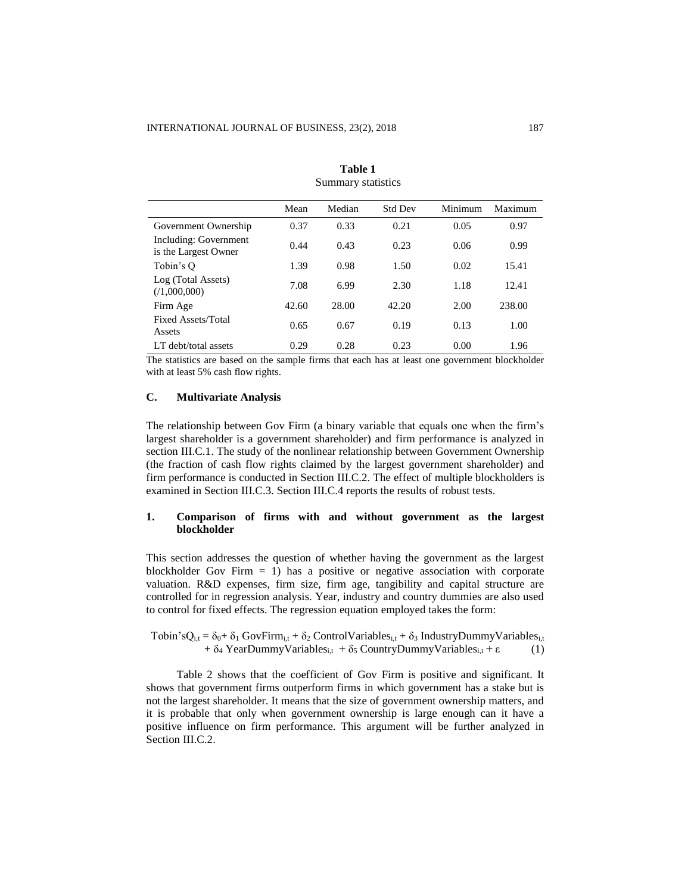|                                               | Mean  | Median | <b>Std Dev</b> | Minimum | Maximum |
|-----------------------------------------------|-------|--------|----------------|---------|---------|
| Government Ownership                          | 0.37  | 0.33   | 0.21           | 0.05    | 0.97    |
| Including: Government<br>is the Largest Owner | 0.44  | 0.43   | 0.23           | 0.06    | 0.99    |
| Tobin's Q                                     | 1.39  | 0.98   | 1.50           | 0.02    | 15.41   |
| Log (Total Assets)<br>(1,000,000)             | 7.08  | 6.99   | 2.30           | 1.18    | 12.41   |
| Firm Age                                      | 42.60 | 28.00  | 42.20          | 2.00    | 238.00  |
| Fixed Assets/Total<br>Assets                  | 0.65  | 0.67   | 0.19           | 0.13    | 1.00    |
| LT debt/total assets                          | 0.29  | 0.28   | 0.23           | 0.00    | 1.96    |

**Table 1** Summary statistics

The statistics are based on the sample firms that each has at least one government blockholder with at least 5% cash flow rights.

# **C. Multivariate Analysis**

The relationship between Gov Firm (a binary variable that equals one when the firm's largest shareholder is a government shareholder) and firm performance is analyzed in section III.C.1. The study of the nonlinear relationship between Government Ownership (the fraction of cash flow rights claimed by the largest government shareholder) and firm performance is conducted in Section III.C.2. The effect of multiple blockholders is examined in Section III.C.3. Section III.C.4 reports the results of robust tests.

## **1. Comparison of firms with and without government as the largest blockholder**

This section addresses the question of whether having the government as the largest blockholder Gov Firm  $= 1$ ) has a positive or negative association with corporate valuation. R&D expenses, firm size, firm age, tangibility and capital structure are controlled for in regression analysis. Year, industry and country dummies are also used to control for fixed effects. The regression equation employed takes the form:

Tobin'sQ<sub>i,t</sub> =  $\delta_0 + \delta_1$  GovFirm<sub>i,t</sub> +  $\delta_2$  ControlVariables<sub>i,t</sub> +  $\delta_3$  IndustryDummyVariables<sub>i,t</sub> +  $\delta_4$  YearDummyVariables<sub>i,t</sub> +  $\delta_5$  CountryDummyVariables<sub>i,t</sub> + ε (1)

Table 2 shows that the coefficient of Gov Firm is positive and significant. It shows that government firms outperform firms in which government has a stake but is not the largest shareholder. It means that the size of government ownership matters, and it is probable that only when government ownership is large enough can it have a positive influence on firm performance. This argument will be further analyzed in Section III.C.2.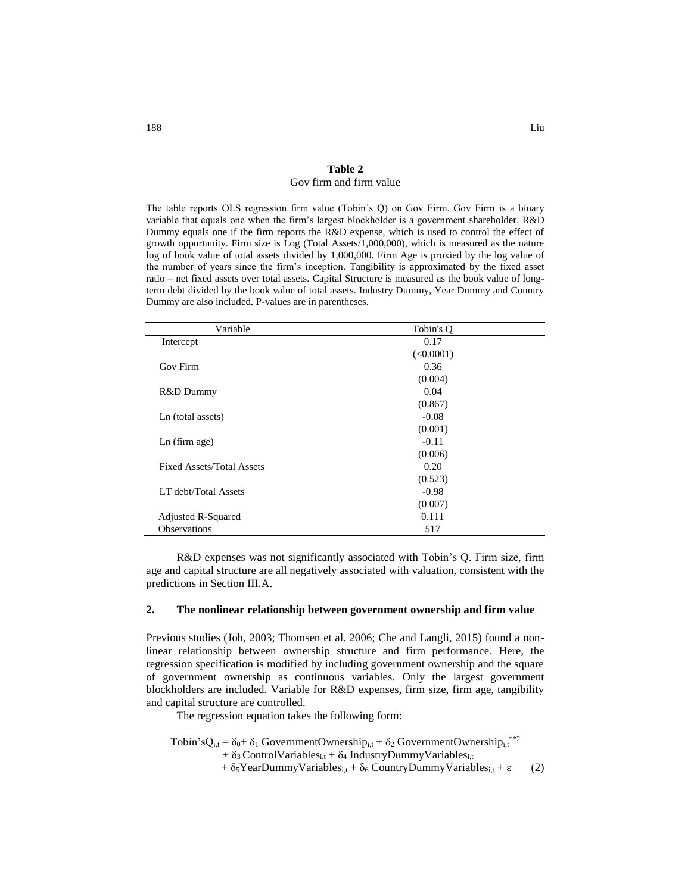#### **Table 2**  Gov firm and firm value

The table reports OLS regression firm value (Tobin's Q) on Gov Firm. Gov Firm is a binary variable that equals one when the firm's largest blockholder is a government shareholder. R&D Dummy equals one if the firm reports the R&D expense, which is used to control the effect of growth opportunity. Firm size is Log (Total Assets/1,000,000), which is measured as the nature log of book value of total assets divided by 1,000,000. Firm Age is proxied by the log value of the number of years since the firm's inception. Tangibility is approximated by the fixed asset ratio – net fixed assets over total assets. Capital Structure is measured as the book value of longterm debt divided by the book value of total assets. Industry Dummy, Year Dummy and Country Dummy are also included. P-values are in parentheses.

| Variable                         | Tobin's O |  |
|----------------------------------|-----------|--|
| Intercept                        | 0.17      |  |
|                                  | (<0.0001) |  |
| Gov Firm                         | 0.36      |  |
|                                  | (0.004)   |  |
| R&D Dummy                        | 0.04      |  |
|                                  | (0.867)   |  |
| Ln (total assets)                | $-0.08$   |  |
|                                  | (0.001)   |  |
| $Ln$ (firm age)                  | $-0.11$   |  |
|                                  | (0.006)   |  |
| <b>Fixed Assets/Total Assets</b> | 0.20      |  |
|                                  | (0.523)   |  |
| LT debt/Total Assets             | $-0.98$   |  |
|                                  | (0.007)   |  |
| <b>Adjusted R-Squared</b>        | 0.111     |  |
| <b>Observations</b>              | 517       |  |

R&D expenses was not significantly associated with Tobin's Q. Firm size, firm age and capital structure are all negatively associated with valuation, consistent with the predictions in Section III.A.

#### **2. The nonlinear relationship between government ownership and firm value**

Previous studies (Joh, 2003; Thomsen et al. 2006; Che and Langli, 2015) found a nonlinear relationship between ownership structure and firm performance. Here, the regression specification is modified by including government ownership and the square of government ownership as continuous variables. Only the largest government blockholders are included. Variable for R&D expenses, firm size, firm age, tangibility and capital structure are controlled.

The regression equation takes the following form:

Tobin's $Q_{i,t} = \delta_0 + \delta_1$  GovernmentOwnership<sub>i,t</sub> +  $\delta_2$  GovernmentOwnership<sub>i,t</sub><sup>\*\*2</sup> +  $\delta_3$  ControlVariables<sub>i,t</sub> +  $\delta_4$  IndustryDummyVariables<sub>i,t</sub> +  $\delta_5$ YearDummyVariables<sub>i,t</sub> +  $\delta_6$  CountryDummyVariables<sub>i,t</sub> +  $\varepsilon$  (2)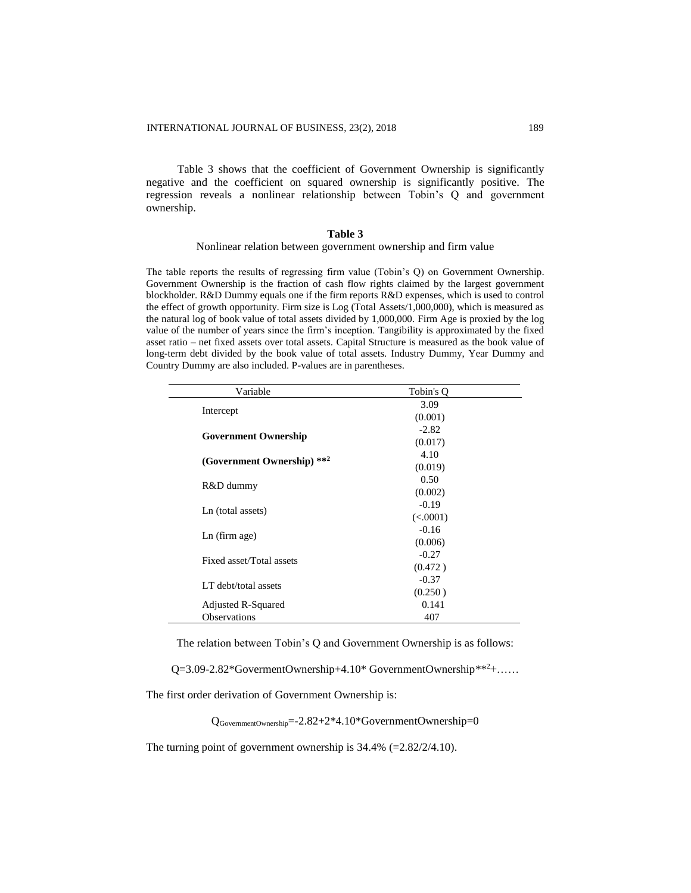Table 3 shows that the coefficient of Government Ownership is significantly negative and the coefficient on squared ownership is significantly positive. The regression reveals a nonlinear relationship between Tobin's Q and government ownership.

#### **Table 3**

#### Nonlinear relation between government ownership and firm value

The table reports the results of regressing firm value (Tobin's Q) on Government Ownership. Government Ownership is the fraction of cash flow rights claimed by the largest government blockholder. R&D Dummy equals one if the firm reports R&D expenses, which is used to control the effect of growth opportunity. Firm size is Log (Total Assets/1,000,000), which is measured as the natural log of book value of total assets divided by 1,000,000. Firm Age is proxied by the log value of the number of years since the firm's inception. Tangibility is approximated by the fixed asset ratio – net fixed assets over total assets. Capital Structure is measured as the book value of long-term debt divided by the book value of total assets. Industry Dummy, Year Dummy and Country Dummy are also included. P-values are in parentheses.

| Variable                    | Tobin's O |
|-----------------------------|-----------|
|                             | 3.09      |
| Intercept                   | (0.001)   |
|                             | $-2.82$   |
| <b>Government Ownership</b> | (0.017)   |
|                             | 4.10      |
| (Government Ownership) **2  | (0.019)   |
|                             | 0.50      |
| R&D dummy                   | (0.002)   |
|                             | $-0.19$   |
| Ln (total assets)           | (<.0001)  |
| $Ln$ (firm age)             | $-0.16$   |
|                             | (0.006)   |
| Fixed asset/Total assets    | $-0.27$   |
|                             | (0.472)   |
| LT debt/total assets        | $-0.37$   |
|                             | (0.250)   |
| Adjusted R-Squared          | 0.141     |
| <b>Observations</b>         | 407       |

The relation between Tobin's Q and Government Ownership is as follows:

Q=3.09-2.82\*GovermentOwnership+4.10\* GovernmentOwnership\*\*<sup>2</sup>+……

The first order derivation of Government Ownership is:

QGovernmentOwnership=-2.82+2\*4.10\*GovernmentOwnership=0

The turning point of government ownership is  $34.4\%$  (=2.82/2/4.10).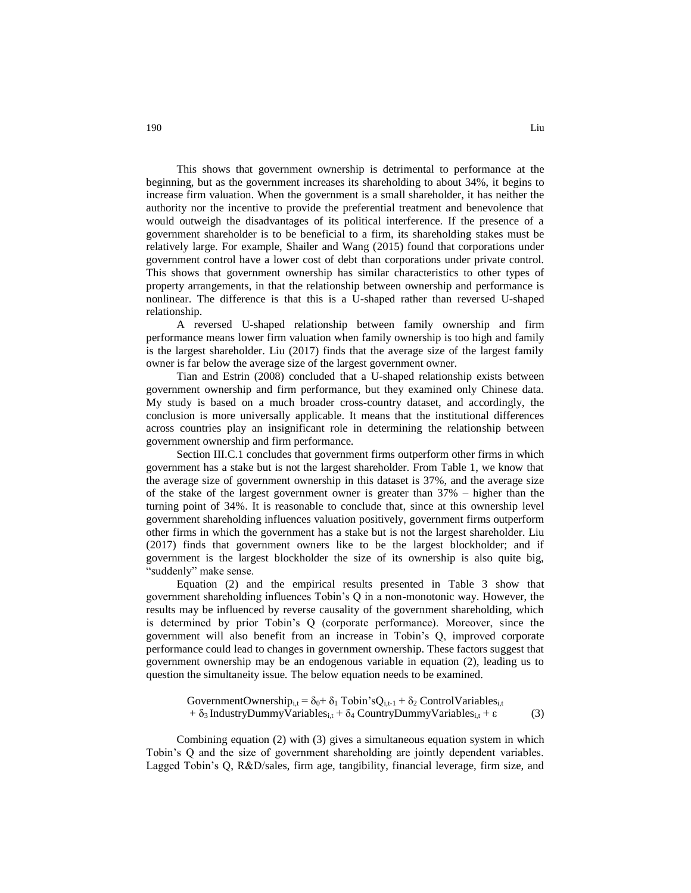This shows that government ownership is detrimental to performance at the beginning, but as the government increases its shareholding to about 34%, it begins to increase firm valuation. When the government is a small shareholder, it has neither the authority nor the incentive to provide the preferential treatment and benevolence that would outweigh the disadvantages of its political interference. If the presence of a government shareholder is to be beneficial to a firm, its shareholding stakes must be relatively large. For example, Shailer and Wang (2015) found that corporations under government control have a lower cost of debt than corporations under private control. This shows that government ownership has similar characteristics to other types of property arrangements, in that the relationship between ownership and performance is nonlinear. The difference is that this is a U-shaped rather than reversed U-shaped relationship.

A reversed U-shaped relationship between family ownership and firm performance means lower firm valuation when family ownership is too high and family is the largest shareholder. Liu (2017) finds that the average size of the largest family owner is far below the average size of the largest government owner.

Tian and Estrin (2008) concluded that a U-shaped relationship exists between government ownership and firm performance, but they examined only Chinese data. My study is based on a much broader cross-country dataset, and accordingly, the conclusion is more universally applicable. It means that the institutional differences across countries play an insignificant role in determining the relationship between government ownership and firm performance.

Section III.C.1 concludes that government firms outperform other firms in which government has a stake but is not the largest shareholder. From Table 1, we know that the average size of government ownership in this dataset is 37%, and the average size of the stake of the largest government owner is greater than 37% – higher than the turning point of 34%. It is reasonable to conclude that, since at this ownership level government shareholding influences valuation positively, government firms outperform other firms in which the government has a stake but is not the largest shareholder. Liu (2017) finds that government owners like to be the largest blockholder; and if government is the largest blockholder the size of its ownership is also quite big, "suddenly" make sense.

Equation (2) and the empirical results presented in Table 3 show that government shareholding influences Tobin's Q in a non-monotonic way. However, the results may be influenced by reverse causality of the government shareholding, which is determined by prior Tobin's Q (corporate performance). Moreover, since the government will also benefit from an increase in Tobin's Q, improved corporate performance could lead to changes in government ownership. These factors suggest that government ownership may be an endogenous variable in equation (2), leading us to question the simultaneity issue. The below equation needs to be examined.

GovernmentOwnership<sub>i,t</sub> =  $\delta_0$ +  $\delta_1$  Tobin'sQ<sub>i,t-1</sub> +  $\delta_2$  ControlVariables<sub>i,t</sub> +  $\delta_3$  IndustryDummyVariables<sub>i,t</sub> +  $\delta_4$  CountryDummyVariables<sub>i,t</sub> +  $\varepsilon$  (3)

Combining equation (2) with (3) gives a simultaneous equation system in which Tobin's Q and the size of government shareholding are jointly dependent variables. Lagged Tobin's Q, R&D/sales, firm age, tangibility, financial leverage, firm size, and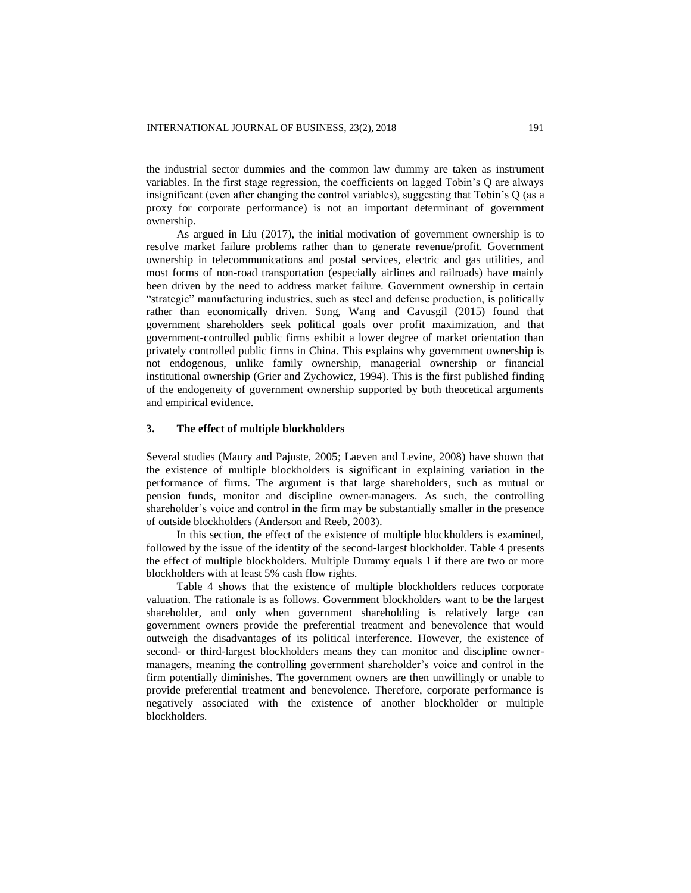the industrial sector dummies and the common law dummy are taken as instrument variables. In the first stage regression, the coefficients on lagged Tobin's Q are always insignificant (even after changing the control variables), suggesting that Tobin's Q (as a proxy for corporate performance) is not an important determinant of government ownership.

As argued in Liu (2017), the initial motivation of government ownership is to resolve market failure problems rather than to generate revenue/profit. Government ownership in telecommunications and postal services, electric and gas utilities, and most forms of non-road transportation (especially airlines and railroads) have mainly been driven by the need to address market failure. Government ownership in certain "strategic" manufacturing industries, such as steel and defense production, is politically rather than economically driven. Song, Wang and Cavusgil (2015) found that government shareholders seek political goals over profit maximization, and that government-controlled public firms exhibit a lower degree of market orientation than privately controlled public firms in China. This explains why government ownership is not endogenous, unlike family ownership, managerial ownership or financial institutional ownership (Grier and Zychowicz, 1994). This is the first published finding of the endogeneity of government ownership supported by both theoretical arguments and empirical evidence.

#### **3. The effect of multiple blockholders**

Several studies (Maury and Pajuste, 2005; Laeven and Levine, 2008) have shown that the existence of multiple blockholders is significant in explaining variation in the performance of firms. The argument is that large shareholders, such as mutual or pension funds, monitor and discipline owner-managers. As such, the controlling shareholder's voice and control in the firm may be substantially smaller in the presence of outside blockholders (Anderson and Reeb, 2003).

In this section, the effect of the existence of multiple blockholders is examined, followed by the issue of the identity of the second-largest blockholder. Table 4 presents the effect of multiple blockholders. Multiple Dummy equals 1 if there are two or more blockholders with at least 5% cash flow rights.

Table 4 shows that the existence of multiple blockholders reduces corporate valuation. The rationale is as follows. Government blockholders want to be the largest shareholder, and only when government shareholding is relatively large can government owners provide the preferential treatment and benevolence that would outweigh the disadvantages of its political interference. However, the existence of second- or third-largest blockholders means they can monitor and discipline ownermanagers, meaning the controlling government shareholder's voice and control in the firm potentially diminishes. The government owners are then unwillingly or unable to provide preferential treatment and benevolence. Therefore, corporate performance is negatively associated with the existence of another blockholder or multiple blockholders.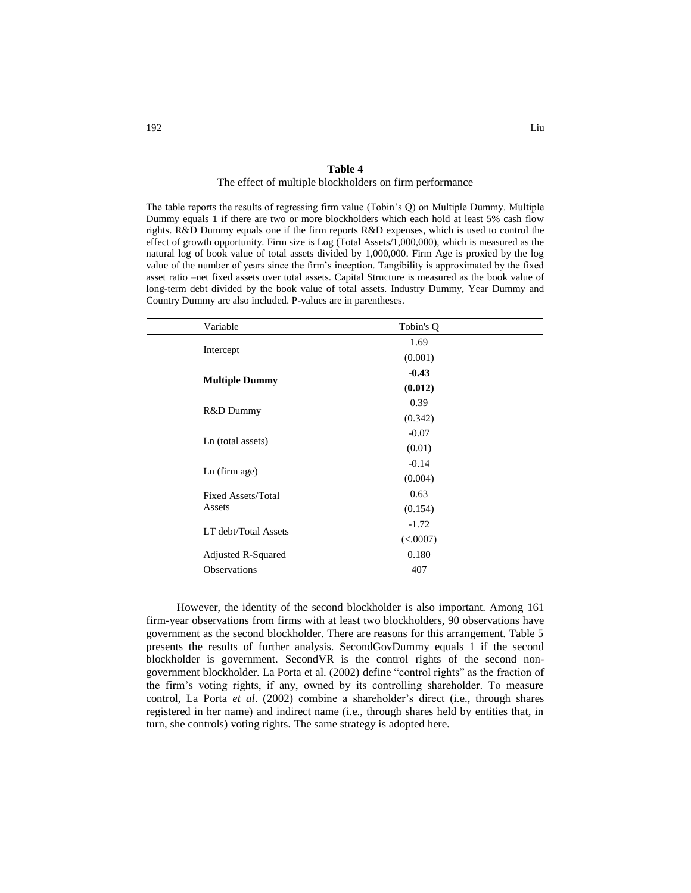#### **Table 4**

# The effect of multiple blockholders on firm performance

The table reports the results of regressing firm value (Tobin's Q) on Multiple Dummy. Multiple Dummy equals 1 if there are two or more blockholders which each hold at least 5% cash flow rights. R&D Dummy equals one if the firm reports R&D expenses, which is used to control the effect of growth opportunity. Firm size is Log (Total Assets/1,000,000), which is measured as the natural log of book value of total assets divided by 1,000,000. Firm Age is proxied by the log value of the number of years since the firm's inception. Tangibility is approximated by the fixed asset ratio –net fixed assets over total assets. Capital Structure is measured as the book value of long-term debt divided by the book value of total assets. Industry Dummy, Year Dummy and Country Dummy are also included. P-values are in parentheses.

| Variable                  | Tobin's Q |  |
|---------------------------|-----------|--|
|                           | 1.69      |  |
| Intercept                 | (0.001)   |  |
|                           | $-0.43$   |  |
| <b>Multiple Dummy</b>     | (0.012)   |  |
|                           | 0.39      |  |
| R&D Dummy                 | (0.342)   |  |
|                           | $-0.07$   |  |
| Ln (total assets)         | (0.01)    |  |
|                           | $-0.14$   |  |
| Ln (firm age)             | (0.004)   |  |
| <b>Fixed Assets/Total</b> | 0.63      |  |
| Assets                    | (0.154)   |  |
|                           | $-1.72$   |  |
| LT debt/Total Assets      | (<.0007)  |  |
| Adjusted R-Squared        | 0.180     |  |
| <b>Observations</b>       | 407       |  |

However, the identity of the second blockholder is also important. Among 161 firm-year observations from firms with at least two blockholders, 90 observations have government as the second blockholder. There are reasons for this arrangement. Table 5 presents the results of further analysis. SecondGovDummy equals 1 if the second blockholder is government. SecondVR is the control rights of the second nongovernment blockholder. La Porta et al. (2002) define "control rights" as the fraction of the firm's voting rights, if any, owned by its controlling shareholder. To measure control, La Porta *et al*. (2002) combine a shareholder's direct (i.e., through shares registered in her name) and indirect name (i.e., through shares held by entities that, in turn, she controls) voting rights. The same strategy is adopted here.

L.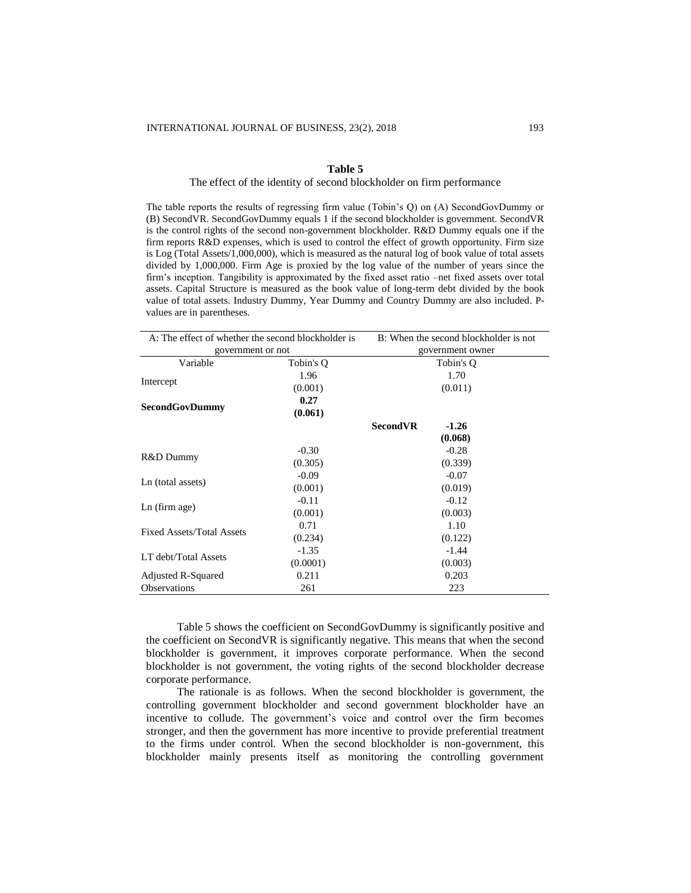#### **Table 5**

# The effect of the identity of second blockholder on firm performance

The table reports the results of regressing firm value (Tobin's Q) on (A) SecondGovDummy or (B) SecondVR. SecondGovDummy equals 1 if the second blockholder is government. SecondVR is the control rights of the second non-government blockholder. R&D Dummy equals one if the firm reports R&D expenses, which is used to control the effect of growth opportunity. Firm size is Log (Total Assets/1,000,000), which is measured as the natural log of book value of total assets divided by 1,000,000. Firm Age is proxied by the log value of the number of years since the firm's inception. Tangibility is approximated by the fixed asset ratio –net fixed assets over total assets. Capital Structure is measured as the book value of long-term debt divided by the book value of total assets. Industry Dummy, Year Dummy and Country Dummy are also included. Pvalues are in parentheses.

| A: The effect of whether the second blockholder is |           | B: When the second blockholder is not |  |  |
|----------------------------------------------------|-----------|---------------------------------------|--|--|
| government or not                                  |           | government owner                      |  |  |
| Variable                                           | Tobin's Q | Tobin's O                             |  |  |
|                                                    | 1.96      | 1.70                                  |  |  |
| Intercept                                          | (0.001)   | (0.011)                               |  |  |
|                                                    | 0.27      |                                       |  |  |
| <b>SecondGovDummy</b>                              | (0.061)   |                                       |  |  |
|                                                    |           | <b>SecondVR</b><br>$-1.26$            |  |  |
|                                                    |           | (0.068)                               |  |  |
|                                                    | $-0.30$   | $-0.28$                               |  |  |
| R&D Dummy                                          | (0.305)   | (0.339)                               |  |  |
|                                                    | $-0.09$   | $-0.07$                               |  |  |
| Ln (total assets)                                  | (0.001)   | (0.019)                               |  |  |
| $Ln$ (firm age)                                    | $-0.11$   | $-0.12$                               |  |  |
|                                                    | (0.001)   | (0.003)                               |  |  |
| <b>Fixed Assets/Total Assets</b>                   | 0.71      | 1.10                                  |  |  |
|                                                    | (0.234)   | (0.122)                               |  |  |
| LT debt/Total Assets                               | $-1.35$   | $-1.44$                               |  |  |
|                                                    | (0.0001)  | (0.003)                               |  |  |
| Adjusted R-Squared                                 | 0.211     | 0.203                                 |  |  |
| <b>Observations</b>                                | 261       | 223                                   |  |  |

Table 5 shows the coefficient on SecondGovDummy is significantly positive and the coefficient on SecondVR is significantly negative. This means that when the second blockholder is government, it improves corporate performance. When the second blockholder is not government, the voting rights of the second blockholder decrease corporate performance.

The rationale is as follows. When the second blockholder is government, the controlling government blockholder and second government blockholder have an incentive to collude. The government's voice and control over the firm becomes stronger, and then the government has more incentive to provide preferential treatment to the firms under control. When the second blockholder is non-government, this blockholder mainly presents itself as monitoring the controlling government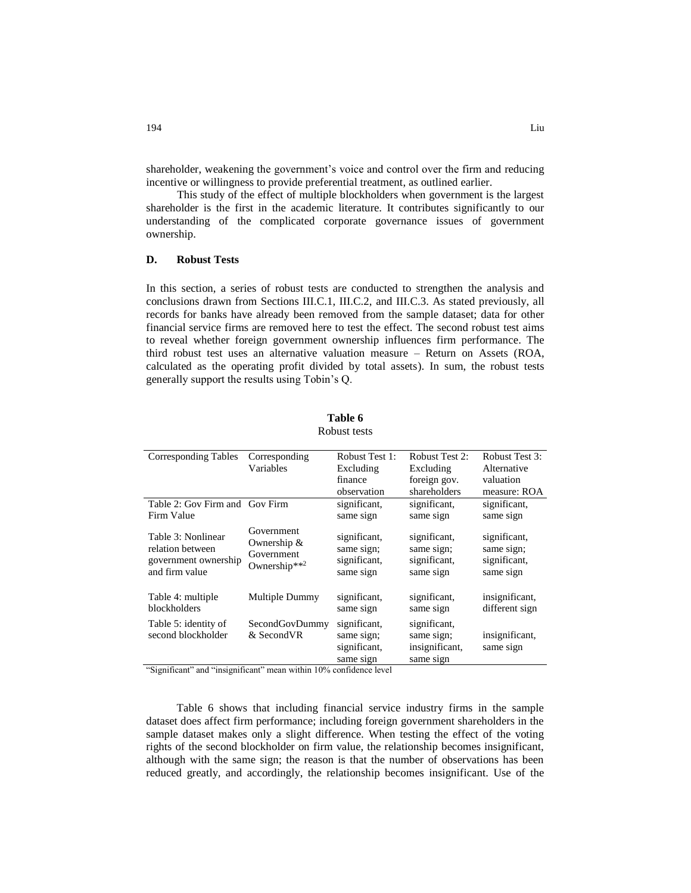shareholder, weakening the government's voice and control over the firm and reducing incentive or willingness to provide preferential treatment, as outlined earlier.

This study of the effect of multiple blockholders when government is the largest shareholder is the first in the academic literature. It contributes significantly to our understanding of the complicated corporate governance issues of government ownership.

# **D. Robust Tests**

In this section, a series of robust tests are conducted to strengthen the analysis and conclusions drawn from Sections III.C.1, III.C.2, and III.C.3. As stated previously, all records for banks have already been removed from the sample dataset; data for other financial service firms are removed here to test the effect. The second robust test aims to reveal whether foreign government ownership influences firm performance. The third robust test uses an alternative valuation measure – Return on Assets (ROA, calculated as the operating profit divided by total assets). In sum, the robust tests generally support the results using Tobin's Q.

| <b>Corresponding Tables</b>                                                                                | Corresponding                                           | Robust Test 1:                                                                        | <b>Robust Test 2:</b>                                     | Robust Test 3:                                          |
|------------------------------------------------------------------------------------------------------------|---------------------------------------------------------|---------------------------------------------------------------------------------------|-----------------------------------------------------------|---------------------------------------------------------|
|                                                                                                            | Variables                                               | Excluding                                                                             | Excluding                                                 | Alternative                                             |
|                                                                                                            |                                                         | finance                                                                               | foreign gov.                                              | valuation                                               |
|                                                                                                            |                                                         | observation                                                                           | shareholders                                              | measure: ROA                                            |
| Table 2: Gov Firm and Gov Firm                                                                             |                                                         | significant,                                                                          | significant,                                              | significant,                                            |
| Firm Value                                                                                                 |                                                         | same sign                                                                             | same sign                                                 | same sign                                               |
| Table 3: Nonlinear<br>relation between<br>government ownership<br>and firm value                           | Government<br>Ownership &<br>Government<br>Ownership**2 | significant,<br>same sign;<br>significant,<br>same sign                               | significant,<br>same sign;<br>significant,<br>same sign   | significant,<br>same sign;<br>significant,<br>same sign |
| Table 4: multiple<br>blockholders                                                                          | Multiple Dummy                                          | significant,<br>same sign                                                             | significant,<br>same sign                                 | insignificant,<br>different sign                        |
| Table 5: identity of<br>second blockholder<br>$1.66$ $1.7$<br>$\cdot$ $\sim$<br>$\cdots$<br>$\cdot$ $\sim$ | SecondGovDummy<br>& SecondVR<br>$1.1 - 1.00$            | significant,<br>same sign;<br>significant,<br>same sign<br>$\sim$ 1<br>$\blacksquare$ | significant,<br>same sign;<br>insignificant,<br>same sign | insignificant,<br>same sign                             |

**Table 6** Robust tests

"Significant" and "insignificant" mean within 10% confidence level

Table 6 shows that including financial service industry firms in the sample dataset does affect firm performance; including foreign government shareholders in the sample dataset makes only a slight difference. When testing the effect of the voting rights of the second blockholder on firm value, the relationship becomes insignificant, although with the same sign; the reason is that the number of observations has been reduced greatly, and accordingly, the relationship becomes insignificant. Use of the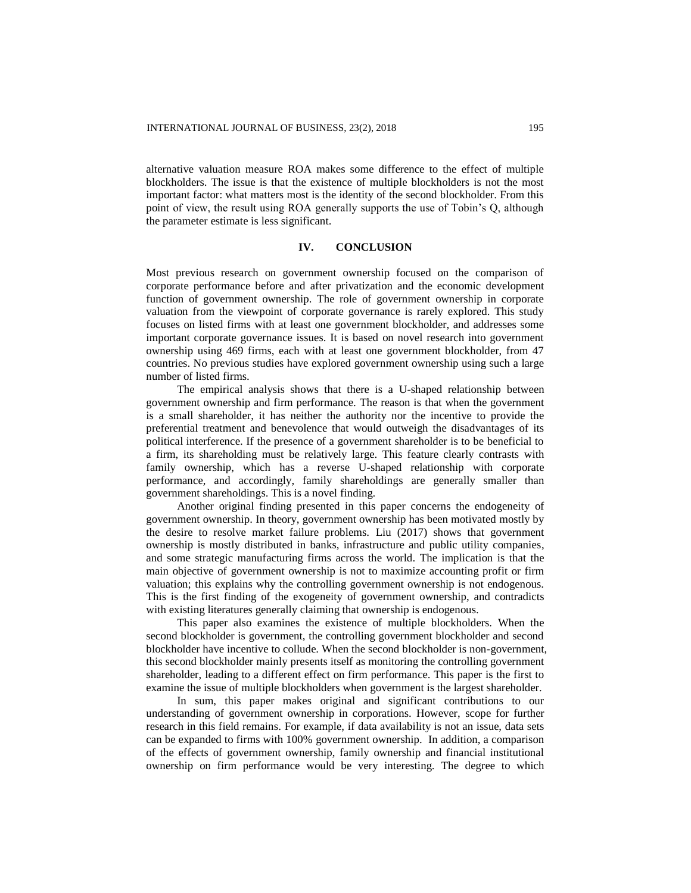alternative valuation measure ROA makes some difference to the effect of multiple blockholders. The issue is that the existence of multiple blockholders is not the most important factor: what matters most is the identity of the second blockholder. From this point of view, the result using ROA generally supports the use of Tobin's Q, although the parameter estimate is less significant.

## **IV. CONCLUSION**

Most previous research on government ownership focused on the comparison of corporate performance before and after privatization and the economic development function of government ownership. The role of government ownership in corporate valuation from the viewpoint of corporate governance is rarely explored. This study focuses on listed firms with at least one government blockholder, and addresses some important corporate governance issues. It is based on novel research into government ownership using 469 firms, each with at least one government blockholder, from 47 countries. No previous studies have explored government ownership using such a large number of listed firms.

The empirical analysis shows that there is a U-shaped relationship between government ownership and firm performance. The reason is that when the government is a small shareholder, it has neither the authority nor the incentive to provide the preferential treatment and benevolence that would outweigh the disadvantages of its political interference. If the presence of a government shareholder is to be beneficial to a firm, its shareholding must be relatively large. This feature clearly contrasts with family ownership, which has a reverse U-shaped relationship with corporate performance, and accordingly, family shareholdings are generally smaller than government shareholdings. This is a novel finding.

Another original finding presented in this paper concerns the endogeneity of government ownership. In theory, government ownership has been motivated mostly by the desire to resolve market failure problems. Liu (2017) shows that government ownership is mostly distributed in banks, infrastructure and public utility companies, and some strategic manufacturing firms across the world. The implication is that the main objective of government ownership is not to maximize accounting profit or firm valuation; this explains why the controlling government ownership is not endogenous. This is the first finding of the exogeneity of government ownership, and contradicts with existing literatures generally claiming that ownership is endogenous.

This paper also examines the existence of multiple blockholders. When the second blockholder is government, the controlling government blockholder and second blockholder have incentive to collude. When the second blockholder is non-government, this second blockholder mainly presents itself as monitoring the controlling government shareholder, leading to a different effect on firm performance. This paper is the first to examine the issue of multiple blockholders when government is the largest shareholder.

In sum, this paper makes original and significant contributions to our understanding of government ownership in corporations. However, scope for further research in this field remains. For example, if data availability is not an issue, data sets can be expanded to firms with 100% government ownership. In addition, a comparison of the effects of government ownership, family ownership and financial institutional ownership on firm performance would be very interesting. The degree to which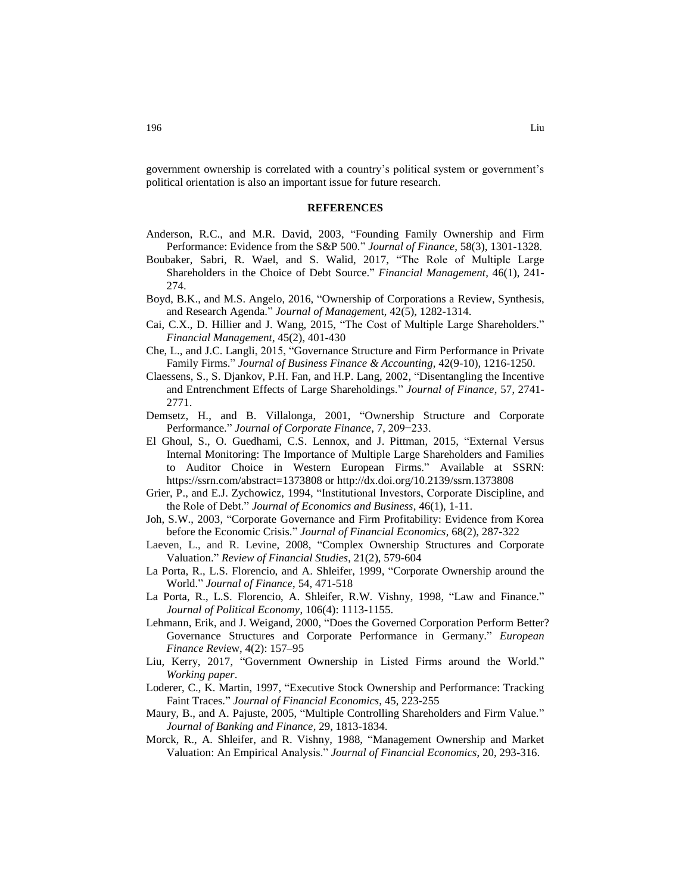government ownership is correlated with a country's political system or government's political orientation is also an important issue for future research.

#### **REFERENCES**

- Anderson, R.C., and M.R. David, 2003, "Founding Family Ownership and Firm Performance: Evidence from the S&P 500." *Journal of Finance*, 58(3), 1301-1328.
- Boubaker, Sabri, R. Wael, and S. Walid, 2017, "The Role of Multiple Large Shareholders in the Choice of Debt Source." *Financial Management*, 46(1), 241- 274.
- Boyd, B.K., and M.S. Angelo, 2016, "Ownership of Corporations a Review, Synthesis, and Research Agenda." *Journal of Managemen*t, 42(5), 1282-1314.
- Cai, C.X., D. Hillier and J. Wang, 2015, "The Cost of Multiple Large Shareholders." *Financial Management*, 45(2), 401-430
- Che, L., and J.C. Langli, 2015, "Governance Structure and Firm Performance in Private Family Firms." *Journal of Business Finance & Accounting*, 42(9-10), 1216-1250.
- Claessens, S., S. Djankov, P.H. Fan, and H.P. Lang, 2002, "Disentangling the Incentive and Entrenchment Effects of Large Shareholdings." *Journal of Finance*, 57, 2741- 2771.
- Demsetz, H., and B. Villalonga, 2001, "Ownership Structure and Corporate Performance." *Journal of Corporate Finance*, 7, 209−233.
- El Ghoul, S., O. Guedhami, C.S. Lennox, and J. Pittman, 2015, "External Versus Internal Monitoring: The Importance of Multiple Large Shareholders and Families to Auditor Choice in Western European Firms." Available at SSRN: https://ssrn.com/abstract=1373808 or http://dx.doi.org/10.2139/ssrn.1373808
- Grier, P., and E.J. Zychowicz, 1994, "Institutional Investors, Corporate Discipline, and the Role of Debt." *Journal of Economics and Business*, 46(1), 1-11.
- Joh, S.W., 2003, "Corporate Governance and Firm Profitability: Evidence from Korea before the Economic Crisis." *Journal of Financial Economics*, 68(2), 287-322
- Laeven, L., and R. Levine, 2008, "Complex Ownership Structures and Corporate Valuation." *Review of Financial Studies*, 21(2), 579-604
- La Porta, R., L.S. Florencio, and A. Shleifer, 1999, "Corporate Ownership around the World." *Journal of Finance*, 54, 471-518
- La Porta, R., L.S. Florencio, A. Shleifer, R.W. Vishny, 1998, "Law and Finance." *Journal of Political Economy*, 106(4): 1113-1155.
- Lehmann, Erik, and J. Weigand, 2000, "Does the Governed Corporation Perform Better? Governance Structures and Corporate Performance in Germany." *European Finance Revi*ew, 4(2): 157–95
- Liu, Kerry, 2017, "Government Ownership in Listed Firms around the World." *Working paper*.
- Loderer, C., K. Martin, 1997, "Executive Stock Ownership and Performance: Tracking Faint Traces." *Journal of Financial Economics*, 45, 223-255
- Maury, B., and A. Pajuste, 2005, "Multiple Controlling Shareholders and Firm Value." *Journal of Banking and Finance*, 29, 1813-1834.
- Morck, R., A. Shleifer, and R. Vishny, 1988, "Management Ownership and Market Valuation: An Empirical Analysis." *Journal of Financial Economics*, 20, 293-316.